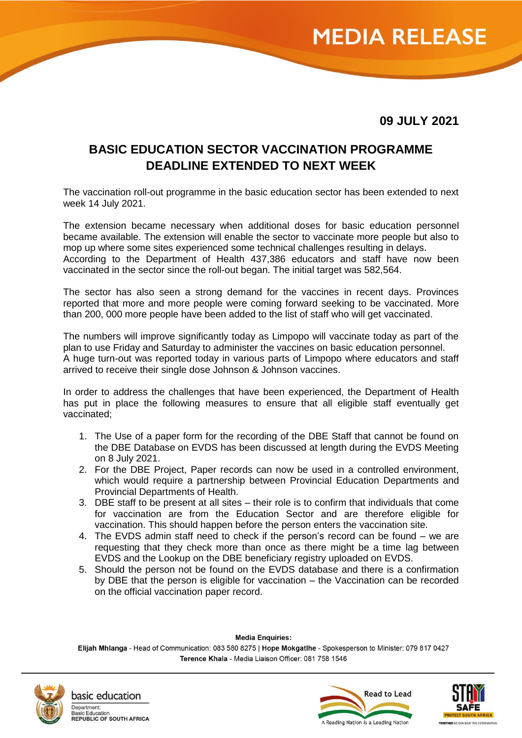

**09 JULY 2021**

## **BASIC EDUCATION SECTOR VACCINATION PROGRAMME DEADLINE EXTENDED TO NEXT WEEK**

The vaccination roll-out programme in the basic education sector has been extended to next week 14 July 2021.

The extension became necessary when additional doses for basic education personnel became available. The extension will enable the sector to vaccinate more people but also to mop up where some sites experienced some technical challenges resulting in delays. According to the Department of Health 437,386 educators and staff have now been vaccinated in the sector since the roll-out began. The initial target was 582,564.

The sector has also seen a strong demand for the vaccines in recent days. Provinces reported that more and more people were coming forward seeking to be vaccinated. More than 200, 000 more people have been added to the list of staff who will get vaccinated.

The numbers will improve significantly today as Limpopo will vaccinate today as part of the plan to use Friday and Saturday to administer the vaccines on basic education personnel. A huge turn-out was reported today in various parts of Limpopo where educators and staff arrived to receive their single dose Johnson & Johnson vaccines.

In order to address the challenges that have been experienced, the Department of Health has put in place the following measures to ensure that all eligible staff eventually get vaccinated;

- 1. The Use of a paper form for the recording of the DBE Staff that cannot be found on the DBE Database on EVDS has been discussed at length during the EVDS Meeting on 8 July 2021.
- 2. For the DBE Project, Paper records can now be used in a controlled environment, which would require a partnership between Provincial Education Departments and Provincial Departments of Health.
- 3. DBE staff to be present at all sites their role is to confirm that individuals that come for vaccination are from the Education Sector and are therefore eligible for vaccination. This should happen before the person enters the vaccination site.
- 4. The EVDS admin staff need to check if the person's record can be found we are requesting that they check more than once as there might be a time lag between EVDS and the Lookup on the DBE beneficiary registry uploaded on EVDS.
- 5. Should the person not be found on the EVDS database and there is a confirmation by DBE that the person is eligible for vaccination – the Vaccination can be recorded on the official vaccination paper record.

**Media Enquiries:** 

Elijah Mhlanga - Head of Communication: 083 580 8275 | Hope Mokgatlhe - Spokesperson to Minister: 079 817 0427 Terence Khala - Media Liaison Officer: 081 758 1546



basic education Department: ic Education **REPUBLIC OF SOUTH AFRICA**